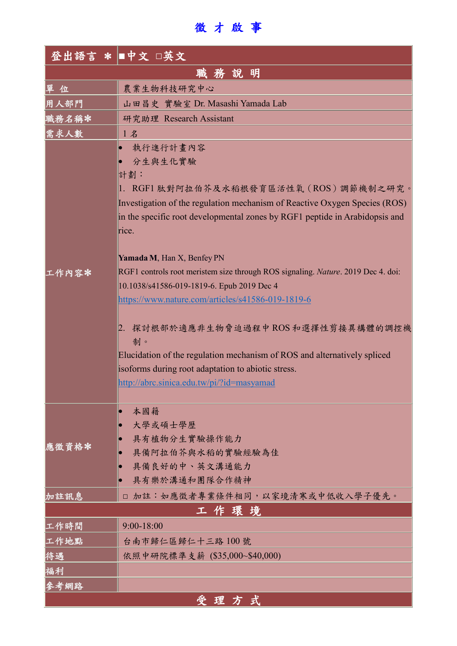徵 才 啟 事

|       | 登出語言 * ■中文 □英文                                                                                                                                                                                                           |
|-------|--------------------------------------------------------------------------------------------------------------------------------------------------------------------------------------------------------------------------|
|       | 職務說明                                                                                                                                                                                                                     |
| 單 位   | 農業生物科技研究中心                                                                                                                                                                                                               |
| 用人部門  | 山田昌史 實驗室 Dr. Masashi Yamada Lab                                                                                                                                                                                          |
| 職務名稱* | 研究助理 Research Assistant                                                                                                                                                                                                  |
| 需求人數  | 1名                                                                                                                                                                                                                       |
|       | 執行進行計畫內容<br>$\bullet$                                                                                                                                                                                                    |
|       | 分生與生化實驗                                                                                                                                                                                                                  |
|       | 計劃:                                                                                                                                                                                                                      |
|       | 1. RGF1 肽對阿拉伯芥及水稻根發育區活性氧 (ROS) 調節機制之研究。                                                                                                                                                                                  |
|       | Investigation of the regulation mechanism of Reactive Oxygen Species (ROS)                                                                                                                                               |
|       | in the specific root developmental zones by RGF1 peptide in Arabidopsis and                                                                                                                                              |
|       | rice.                                                                                                                                                                                                                    |
| 工作內容* | Yamada M, Han X, Benfey PN                                                                                                                                                                                               |
|       | RGF1 controls root meristem size through ROS signaling. Nature. 2019 Dec 4. doi:                                                                                                                                         |
|       | 10.1038/s41586-019-1819-6. Epub 2019 Dec 4                                                                                                                                                                               |
|       | https://www.nature.com/articles/s41586-019-1819-6                                                                                                                                                                        |
|       | 2. 探討根部於適應非生物脅迫過程中ROS 和選擇性剪接異構體的調控機<br>制。<br>Elucidation of the regulation mechanism of ROS and alternatively spliced<br>isoforms during root adaptation to abiotic stress.<br>http://abrc.sinica.edu.tw/pi/?id=masyamad |
|       | 本國籍<br>O                                                                                                                                                                                                                 |
|       | 大學或碩士學歷                                                                                                                                                                                                                  |
|       | 具有植物分生實驗操作能力                                                                                                                                                                                                             |
| 應徵資格* | 具備阿拉伯芥與水稻的實驗經驗為佳                                                                                                                                                                                                         |
|       | 具備良好的中、英文溝通能力<br>$\bullet$                                                                                                                                                                                               |
|       | 具有樂於溝通和團隊合作精神                                                                                                                                                                                                            |
| 加註訊息  | □ 加註:如應徵者專業條件相同,以家境清寒或中低收入學子優先。                                                                                                                                                                                          |
|       | 工作環境                                                                                                                                                                                                                     |
| 工作時間  | 9:00-18:00                                                                                                                                                                                                               |
| 工作地點  | 台南市歸仁區歸仁十三路100號                                                                                                                                                                                                          |
| 待遇    | 依照中研院標準支薪 (\$35,000~\$40,000)                                                                                                                                                                                            |
| 福利    |                                                                                                                                                                                                                          |
| 參考網路  |                                                                                                                                                                                                                          |
|       | 受理方式                                                                                                                                                                                                                     |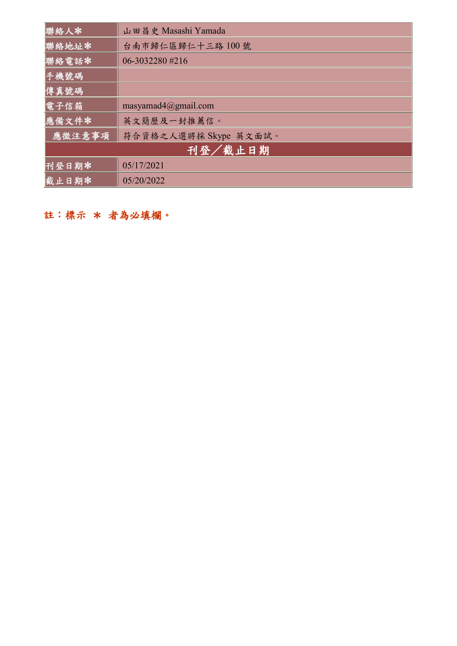| 聯絡人*    | 山田昌史 Masashi Yamada     |
|---------|-------------------------|
| 聯絡地址*   | 台南市歸仁區歸仁十三路100號         |
| 聯絡電話*   | 06-3032280 #216         |
| 手機號碼    |                         |
| 傳真號碼    |                         |
| 電子信箱    | masyamad $4@g$ mail.com |
| 應備文件*   | 英文簡歷及一封推薦信。             |
| 應徵注意事項  | 符合資格之人選將採 Skype 英文面試。   |
| 刊登/截止日期 |                         |
| 刊登日期米   | 05/17/2021              |
| 截止日期米   | 05/20/2022              |

註:標示 \* 者為必填欄。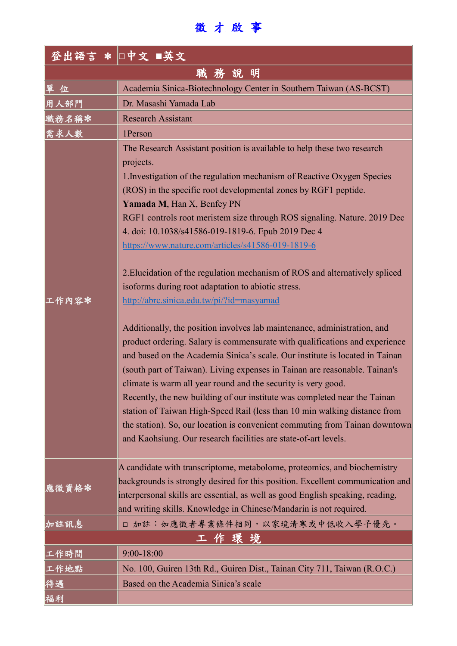## 徵 才 啟 事

|       | 登出語言 * 口中文 ■英文                                                                                                                                                                                                                                                                                                                                                                                                                                                                                                                                                                                                                                                                                                                                                                                                                                                                                                                                                                                                                                                                                                                                                                                                                                                                                                                                  |  |
|-------|-------------------------------------------------------------------------------------------------------------------------------------------------------------------------------------------------------------------------------------------------------------------------------------------------------------------------------------------------------------------------------------------------------------------------------------------------------------------------------------------------------------------------------------------------------------------------------------------------------------------------------------------------------------------------------------------------------------------------------------------------------------------------------------------------------------------------------------------------------------------------------------------------------------------------------------------------------------------------------------------------------------------------------------------------------------------------------------------------------------------------------------------------------------------------------------------------------------------------------------------------------------------------------------------------------------------------------------------------|--|
|       | 職務說明                                                                                                                                                                                                                                                                                                                                                                                                                                                                                                                                                                                                                                                                                                                                                                                                                                                                                                                                                                                                                                                                                                                                                                                                                                                                                                                                            |  |
| 單位    | Academia Sinica-Biotechnology Center in Southern Taiwan (AS-BCST)                                                                                                                                                                                                                                                                                                                                                                                                                                                                                                                                                                                                                                                                                                                                                                                                                                                                                                                                                                                                                                                                                                                                                                                                                                                                               |  |
| 用人部門  | Dr. Masashi Yamada Lab                                                                                                                                                                                                                                                                                                                                                                                                                                                                                                                                                                                                                                                                                                                                                                                                                                                                                                                                                                                                                                                                                                                                                                                                                                                                                                                          |  |
| 職務名稱* | <b>Research Assistant</b>                                                                                                                                                                                                                                                                                                                                                                                                                                                                                                                                                                                                                                                                                                                                                                                                                                                                                                                                                                                                                                                                                                                                                                                                                                                                                                                       |  |
| 需求人數  | 1Person                                                                                                                                                                                                                                                                                                                                                                                                                                                                                                                                                                                                                                                                                                                                                                                                                                                                                                                                                                                                                                                                                                                                                                                                                                                                                                                                         |  |
| 工作内容* | The Research Assistant position is available to help these two research<br>projects.<br>1. Investigation of the regulation mechanism of Reactive Oxygen Species<br>(ROS) in the specific root developmental zones by RGF1 peptide.<br>Yamada M, Han X, Benfey PN<br>RGF1 controls root meristem size through ROS signaling. Nature. 2019 Dec<br>4. doi: 10.1038/s41586-019-1819-6. Epub 2019 Dec 4<br>https://www.nature.com/articles/s41586-019-1819-6<br>2. Elucidation of the regulation mechanism of ROS and alternatively spliced<br>isoforms during root adaptation to abiotic stress.<br>http://abrc.sinica.edu.tw/pi/?id=masyamad<br>Additionally, the position involves lab maintenance, administration, and<br>product ordering. Salary is commensurate with qualifications and experience<br>and based on the Academia Sinica's scale. Our institute is located in Tainan<br>(south part of Taiwan). Living expenses in Tainan are reasonable. Tainan's<br>climate is warm all year round and the security is very good.<br>Recently, the new building of our institute was completed near the Tainan<br>station of Taiwan High-Speed Rail (less than 10 min walking distance from<br>the station). So, our location is convenient commuting from Tainan downtown<br>and Kaohsiung. Our research facilities are state-of-art levels. |  |
| 應徵資格* | A candidate with transcriptome, metabolome, proteomics, and biochemistry<br>backgrounds is strongly desired for this position. Excellent communication and<br>interpersonal skills are essential, as well as good English speaking, reading,<br>and writing skills. Knowledge in Chinese/Mandarin is not required.                                                                                                                                                                                                                                                                                                                                                                                                                                                                                                                                                                                                                                                                                                                                                                                                                                                                                                                                                                                                                              |  |
| 加註訊息  | □ 加註:如應徵者專業條件相同,以家境清寒或中低收入學子優先。                                                                                                                                                                                                                                                                                                                                                                                                                                                                                                                                                                                                                                                                                                                                                                                                                                                                                                                                                                                                                                                                                                                                                                                                                                                                                                                 |  |
| 工作環境  |                                                                                                                                                                                                                                                                                                                                                                                                                                                                                                                                                                                                                                                                                                                                                                                                                                                                                                                                                                                                                                                                                                                                                                                                                                                                                                                                                 |  |
| 工作時間  | 9:00-18:00                                                                                                                                                                                                                                                                                                                                                                                                                                                                                                                                                                                                                                                                                                                                                                                                                                                                                                                                                                                                                                                                                                                                                                                                                                                                                                                                      |  |
| 工作地點  | No. 100, Guiren 13th Rd., Guiren Dist., Tainan City 711, Taiwan (R.O.C.)                                                                                                                                                                                                                                                                                                                                                                                                                                                                                                                                                                                                                                                                                                                                                                                                                                                                                                                                                                                                                                                                                                                                                                                                                                                                        |  |
| 待遇    | Based on the Academia Sinica's scale                                                                                                                                                                                                                                                                                                                                                                                                                                                                                                                                                                                                                                                                                                                                                                                                                                                                                                                                                                                                                                                                                                                                                                                                                                                                                                            |  |
| 福利    |                                                                                                                                                                                                                                                                                                                                                                                                                                                                                                                                                                                                                                                                                                                                                                                                                                                                                                                                                                                                                                                                                                                                                                                                                                                                                                                                                 |  |